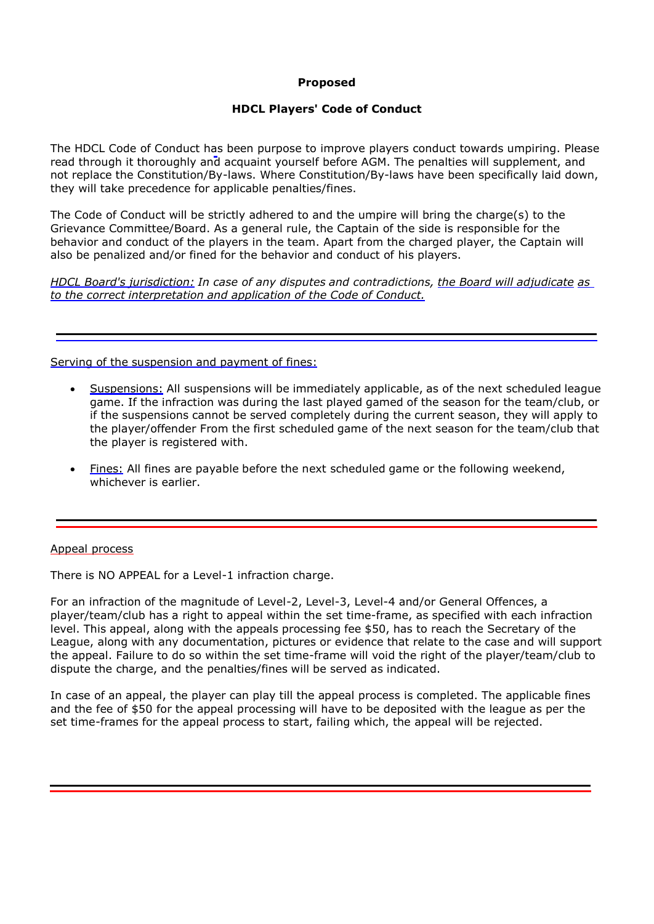# **Proposed**

# **HDCL Players' Code of Conduct**

The HDCL Code of Conduct has been purpose to improve players conduct towards umpiring. Please read through it thoroughly and acquaint yourself before AGM. The penalties will supplement, and not replace the Constitution/By-laws. Where Constitution/By-laws have been specifically laid down, they will take precedence for applicable penalties/fines.

The Code of Conduct will be strictly adhered to and the umpire will bring the charge(s) to the Grievance Committee/Board. As a general rule, the Captain of the side is responsible for the behavior and conduct of the players in the team. Apart from the charged player, the Captain will also be penalized and/or fined for the behavior and conduct of his players.

*HDCL Board's jurisdiction: In case of any disputes and contradictions, the Board will adjudicate as to the correct interpretation and application of the Code of Conduct.*

Serving of the suspension and payment of fines:

- Suspensions: All suspensions will be immediately applicable, as of the next scheduled league game. If the infraction was during the last played gamed of the season for the team/club, or if the suspensions cannot be served completely during the current season, they will apply to the player/offender From the first scheduled game of the next season for the team/club that the player is registered with.
- Fines: All fines are payable before the next scheduled game or the following weekend, whichever is earlier.

### Appeal process

There is NO APPEAL for a Level-1 infraction charge.

For an infraction of the magnitude of Level-2, Level-3, Level-4 and/or General Offences, a player/team/club has a right to appeal within the set time-frame, as specified with each infraction level. This appeal, along with the appeals processing fee \$50, has to reach the Secretary of the League, along with any documentation, pictures or evidence that relate to the case and will support the appeal. Failure to do so within the set time-frame will void the right of the player/team/club to dispute the charge, and the penalties/fines will be served as indicated.

In case of an appeal, the player can play till the appeal process is completed. The applicable fines and the fee of \$50 for the appeal processing will have to be deposited with the league as per the set time-frames for the appeal process to start, failing which, the appeal will be rejected.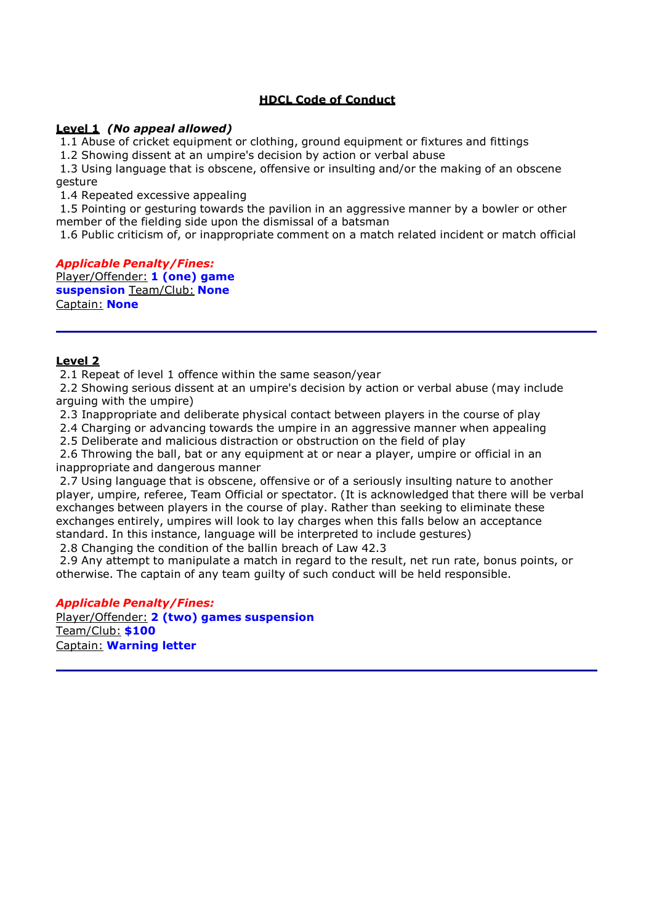# **HDCL Code of Conduct**

# **Level 1** *(No appeal allowed)*

1.1 Abuse of cricket equipment or clothing, ground equipment or fixtures and fittings

1.2 Showing dissent at an umpire's decision by action or verbal abuse

1.3 Using language that is obscene, offensive or insulting and/or the making of an obscene gesture

1.4 Repeated excessive appealing

1.5 Pointing or gesturing towards the pavilion in an aggressive manner by a bowler or other member of the fielding side upon the dismissal of a batsman

1.6 Public criticism of, or inappropriate comment on a match related incident or match official

*Applicable Penalty/Fines:*  Player/Offender: **1 (one) game suspension** Team/Club: **None** Captain: **None**

### **Level 2**

2.1 Repeat of level 1 offence within the same season/year

2.2 Showing serious dissent at an umpire's decision by action or verbal abuse (may include arguing with the umpire)

2.3 Inappropriate and deliberate physical contact between players in the course of play

2.4 Charging or advancing towards the umpire in an aggressive manner when appealing

2.5 Deliberate and malicious distraction or obstruction on the field of play

2.6 Throwing the ball, bat or any equipment at or near a player, umpire or official in an inappropriate and dangerous manner

2.7 Using language that is obscene, offensive or of a seriously insulting nature to another player, umpire, referee, Team Official or spectator. (It is acknowledged that there will be verbal exchanges between players in the course of play. Rather than seeking to eliminate these exchanges entirely, umpires will look to lay charges when this falls below an acceptance standard. In this instance, language will be interpreted to include gestures)

2.8 Changing the condition of the ballin breach of Law 42.3

2.9 Any attempt to manipulate a match in regard to the result, net run rate, bonus points, or otherwise. The captain of any team guilty of such conduct will be held responsible.

*Applicable Penalty/Fines:*

Player/Offender: **2 (two) games suspension** Team/Club: **\$100** Captain: **Warning letter**